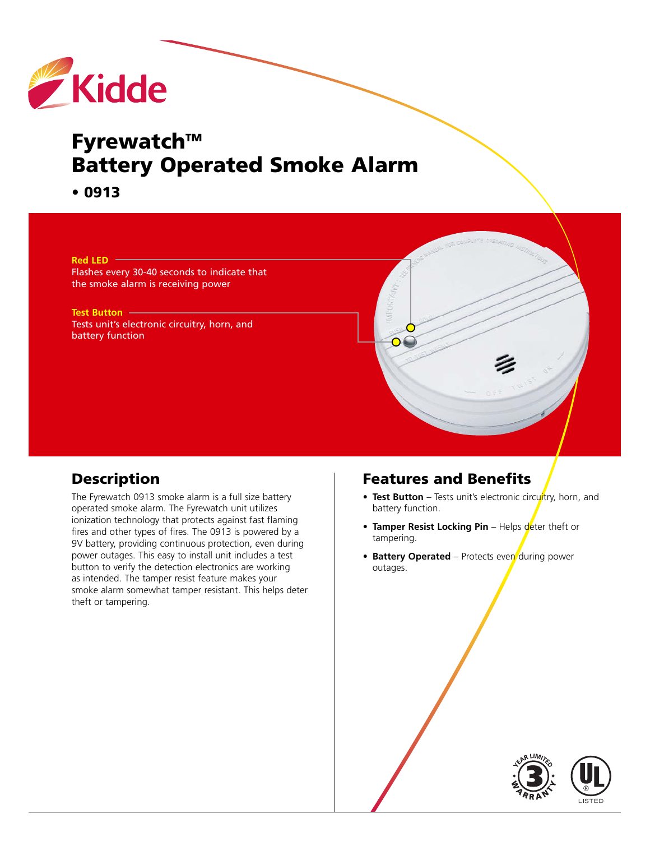

# **Fyrewatch™ Battery Operated Smoke Alarm**

**• 0913**

**Red LED**

Flashes every 30-40 seconds to indicate that the smoke alarm is receiving power

**Test Button** Tests unit's electronic circuitry, horn, and battery function

## **Description**

The Fyrewatch 0913 smoke alarm is a full size battery operated smoke alarm. The Fyrewatch unit utilizes ionization technology that protects against fast flaming fires and other types of fires. The 0913 is powered by a 9V battery, providing continuous protection, even during power outages. This easy to install unit includes a test button to verify the detection electronics are working as intended. The tamper resist feature makes your smoke alarm somewhat tamper resistant. This helps deter theft or tampering.

#### **Features and Benefits**

- Test Button Tests unit's electronic circuitry, horn, and battery function.
- **Tamper Resist Locking Pin** Helps deter theft or tampering.
- **Battery Operated** Protects even during power outages.